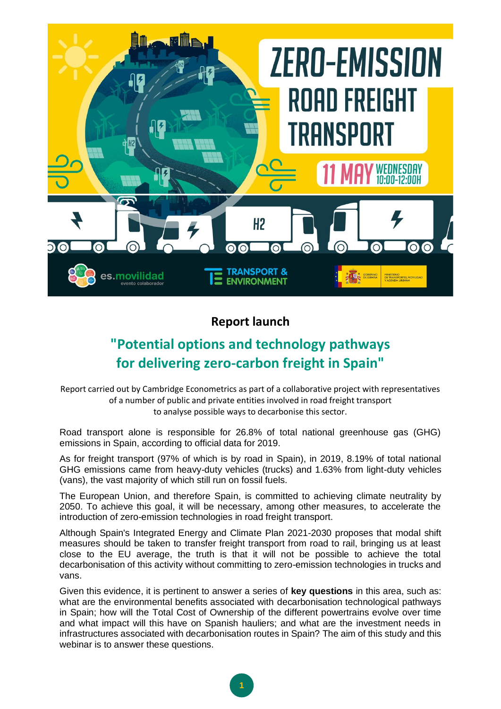

## **Report launch**

## **"Potential options and technology pathways for delivering zero-carbon freight in Spain"**

Report carried out by Cambridge Econometrics as part of a collaborative project with representatives of a number of public and private entities involved in road freight transport to analyse possible ways to decarbonise this sector.

Road transport alone is responsible for 26.8% of total national greenhouse gas (GHG) emissions in Spain, according to official data for 2019.

As for freight transport (97% of which is by road in Spain), in 2019, 8.19% of total national GHG emissions came from heavy-duty vehicles (trucks) and 1.63% from light-duty vehicles (vans), the vast majority of which still run on fossil fuels.

The European Union, and therefore Spain, is committed to achieving climate neutrality by 2050. To achieve this goal, it will be necessary, among other measures, to accelerate the introduction of zero-emission technologies in road freight transport.

Although Spain's Integrated Energy and Climate Plan 2021-2030 proposes that modal shift measures should be taken to transfer freight transport from road to rail, bringing us at least close to the EU average, the truth is that it will not be possible to achieve the total decarbonisation of this activity without committing to zero-emission technologies in trucks and vans.

Given this evidence, it is pertinent to answer a series of **key questions** in this area, such as: what are the environmental benefits associated with decarbonisation technological pathways in Spain; how will the Total Cost of Ownership of the different powertrains evolve over time and what impact will this have on Spanish hauliers; and what are the investment needs in infrastructures associated with decarbonisation routes in Spain? The aim of this study and this webinar is to answer these questions.